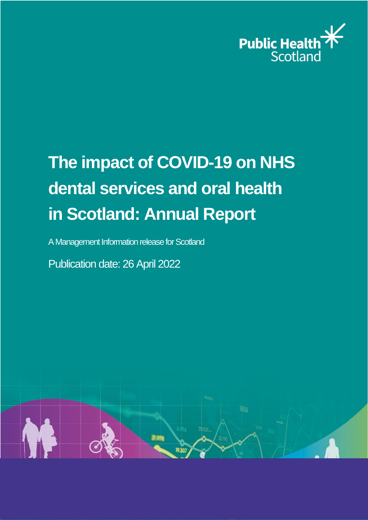

# **The impact of COVID-19 on NHS dental services and oral health in Scotland: Annual Report**

A Management Information release for Scotland

Publication date: 26 April 2022

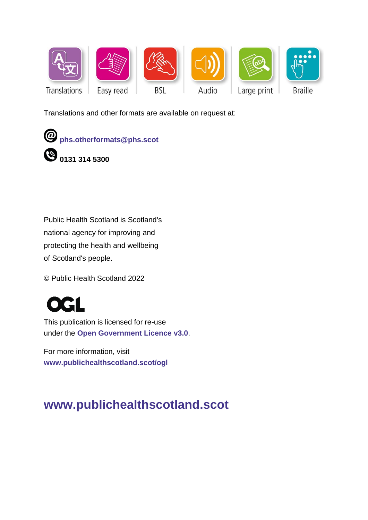

Translations and other formats are available on request at:



Public Health Scotland is Scotland's national agency for improving and protecting the health and wellbeing of Scotland's people.

© Public Health Scotland 2022

This publication is licensed for re-use under the **[Open Government Licence v3.0](http://www.nationalarchives.gov.uk/doc/open-government-licence/)**.

For more information, visit **[www.publichealthscotland.scot/ogl](http://www.publichealthscotland.scot/ogl)**

# **[www.publichealthscotland.scot](http://www.publichealthscotland.scot/)**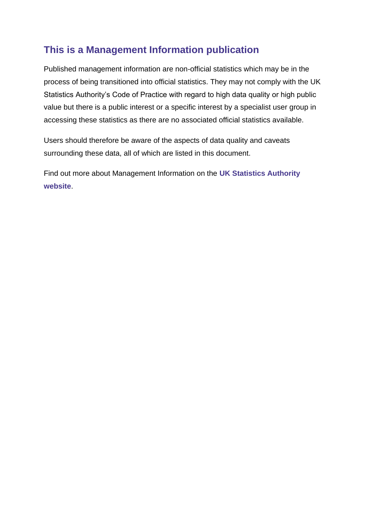# **This is a Management Information publication**

Published management information are non-official statistics which may be in the process of being transitioned into official statistics. They may not comply with the UK Statistics Authority's Code of Practice with regard to high data quality or high public value but there is a public interest or a specific interest by a specialist user group in accessing these statistics as there are no associated official statistics available.

Users should therefore be aware of the aspects of data quality and caveats surrounding these data, all of which are listed in this document.

Find out more about Management Information on the **[UK Statistics Authority](https://code.statisticsauthority.gov.uk/glossary/#management-information)  [website](https://code.statisticsauthority.gov.uk/glossary/#management-information)**.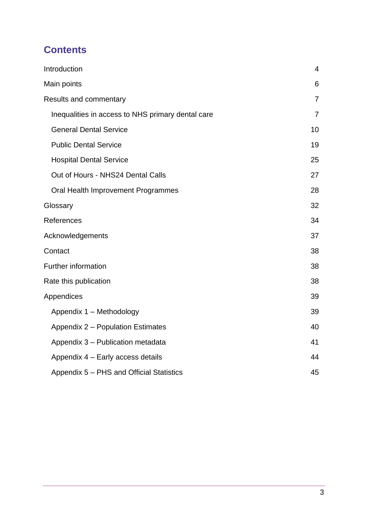# **Contents**

| Introduction                                      | 4              |
|---------------------------------------------------|----------------|
| Main points                                       | 6              |
| Results and commentary                            | $\overline{7}$ |
| Inequalities in access to NHS primary dental care | $\overline{7}$ |
| <b>General Dental Service</b>                     | 10             |
| <b>Public Dental Service</b>                      | 19             |
| <b>Hospital Dental Service</b>                    | 25             |
| Out of Hours - NHS24 Dental Calls                 | 27             |
| Oral Health Improvement Programmes                | 28             |
| Glossary                                          | 32             |
| References                                        | 34             |
| Acknowledgements                                  | 37             |
| Contact                                           | 38             |
| <b>Further information</b>                        | 38             |
| Rate this publication                             |                |
| Appendices                                        | 39             |
| Appendix 1 - Methodology                          | 39             |
| Appendix 2 - Population Estimates                 | 40             |
| Appendix 3 - Publication metadata                 | 41             |
| Appendix 4 - Early access details                 | 44             |
| Appendix 5 - PHS and Official Statistics          | 45             |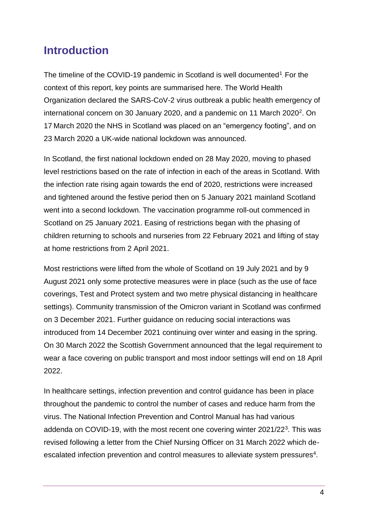# <span id="page-4-0"></span>**Introduction**

The timeline of the COVID-19 pandemic in Scotland is well documented<sup>1</sup>. For the context of this report, key points are summarised here. The World Health Organization declared the SARS-CoV-2 virus outbreak a public health emergency of international concern on 30 January 2020, and a pandemic on 11 March 2020<sup>2</sup>. On 17 March 2020 the NHS in Scotland was placed on an "emergency footing", and on 23 March 2020 a UK-wide national lockdown was announced.

In Scotland, the first national lockdown ended on 28 May 2020, moving to phased level restrictions based on the rate of infection in each of the areas in Scotland. With the infection rate rising again towards the end of 2020, restrictions were increased and tightened around the festive period then on 5 January 2021 mainland Scotland went into a second lockdown. The vaccination programme roll-out commenced in Scotland on 25 January 2021. Easing of restrictions began with the phasing of children returning to schools and nurseries from 22 February 2021 and lifting of stay at home restrictions from 2 April 2021.

Most restrictions were lifted from the whole of Scotland on 19 July 2021 and by 9 August 2021 only some protective measures were in place (such as the use of face coverings, Test and Protect system and two metre physical distancing in healthcare settings). Community transmission of the Omicron variant in Scotland was confirmed on 3 December 2021. Further guidance on reducing social interactions was introduced from 14 December 2021 continuing over winter and easing in the spring. On 30 March 2022 the Scottish Government announced that the legal requirement to wear a face covering on public transport and most indoor settings will end on 18 April 2022.

In healthcare settings, infection prevention and control guidance has been in place throughout the pandemic to control the number of cases and reduce harm from the virus. The National Infection Prevention and Control Manual has had various addenda on COVID-19, with the most recent one covering winter 2021/22<sup>3</sup>. This was revised following a letter from the Chief Nursing Officer on 31 March 2022 which deescalated infection prevention and control measures to alleviate system pressures<sup>4</sup>.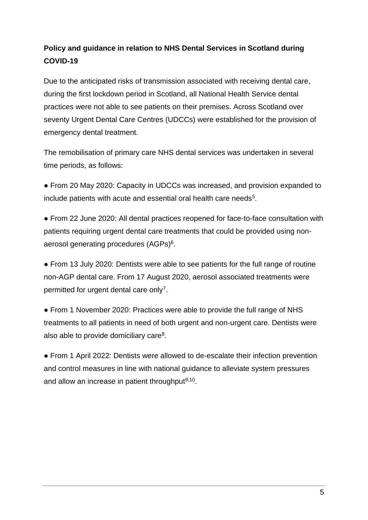### **Policy and guidance in relation to NHS Dental Services in Scotland during COVID-19**

Due to the anticipated risks of transmission associated with receiving dental care, during the first lockdown period in Scotland, all National Health Service dental practices were not able to see patients on their premises. Across Scotland over seventy Urgent Dental Care Centres (UDCCs) were established for the provision of emergency dental treatment.

The remobilisation of primary care NHS dental services was undertaken in several time periods, as follows:

● From 20 May 2020: Capacity in UDCCs was increased, and provision expanded to include patients with acute and essential oral health care needs<sup>5</sup>.

● From 22 June 2020: All dental practices reopened for face-to-face consultation with patients requiring urgent dental care treatments that could be provided using nonaerosol generating procedures (AGPs)<sup>6</sup>.

● From 13 July 2020: Dentists were able to see patients for the full range of routine non-AGP dental care. From 17 August 2020, aerosol associated treatments were permitted for urgent dental care only<sup>7</sup>.

• From 1 November 2020: Practices were able to provide the full range of NHS treatments to all patients in need of both urgent and non-urgent care. Dentists were also able to provide domiciliary care<sup>8</sup>.

● From 1 April 2022: Dentists were allowed to de-escalate their infection prevention and control measures in line with national guidance to alleviate system pressures and allow an increase in patient throughput $9,10$ .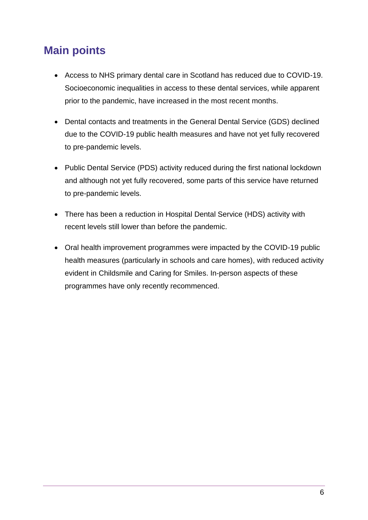# <span id="page-6-0"></span>**Main points**

- Access to NHS primary dental care in Scotland has reduced due to COVID-19. Socioeconomic inequalities in access to these dental services, while apparent prior to the pandemic, have increased in the most recent months.
- Dental contacts and treatments in the General Dental Service (GDS) declined due to the COVID-19 public health measures and have not yet fully recovered to pre-pandemic levels.
- Public Dental Service (PDS) activity reduced during the first national lockdown and although not yet fully recovered, some parts of this service have returned to pre-pandemic levels.
- There has been a reduction in Hospital Dental Service (HDS) activity with recent levels still lower than before the pandemic.
- Oral health improvement programmes were impacted by the COVID-19 public health measures (particularly in schools and care homes), with reduced activity evident in Childsmile and Caring for Smiles. In-person aspects of these programmes have only recently recommenced.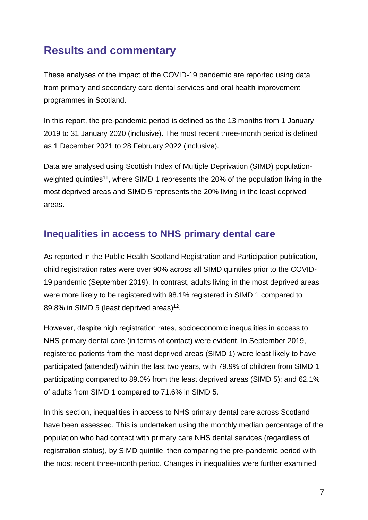# <span id="page-7-0"></span>**Results and commentary**

These analyses of the impact of the COVID-19 pandemic are reported using data from primary and secondary care dental services and oral health improvement programmes in Scotland.

In this report, the pre-pandemic period is defined as the 13 months from 1 January 2019 to 31 January 2020 (inclusive). The most recent three-month period is defined as 1 December 2021 to 28 February 2022 (inclusive).

Data are analysed using Scottish Index of Multiple Deprivation (SIMD) populationweighted quintiles<sup>11</sup>, where SIMD 1 represents the 20% of the population living in the most deprived areas and SIMD 5 represents the 20% living in the least deprived areas.

### <span id="page-7-1"></span>**Inequalities in access to NHS primary dental care**

As reported in the Public Health Scotland Registration and Participation publication, child registration rates were over 90% across all SIMD quintiles prior to the COVID-19 pandemic (September 2019). In contrast, adults living in the most deprived areas were more likely to be registered with 98.1% registered in SIMD 1 compared to 89.8% in SIMD 5 (least deprived areas)<sup>12</sup>.

However, despite high registration rates, socioeconomic inequalities in access to NHS primary dental care (in terms of contact) were evident. In September 2019, registered patients from the most deprived areas (SIMD 1) were least likely to have participated (attended) within the last two years, with 79.9% of children from SIMD 1 participating compared to 89.0% from the least deprived areas (SIMD 5); and 62.1% of adults from SIMD 1 compared to 71.6% in SIMD 5.

In this section, inequalities in access to NHS primary dental care across Scotland have been assessed. This is undertaken using the monthly median percentage of the population who had contact with primary care NHS dental services (regardless of registration status), by SIMD quintile, then comparing the pre-pandemic period with the most recent three-month period. Changes in inequalities were further examined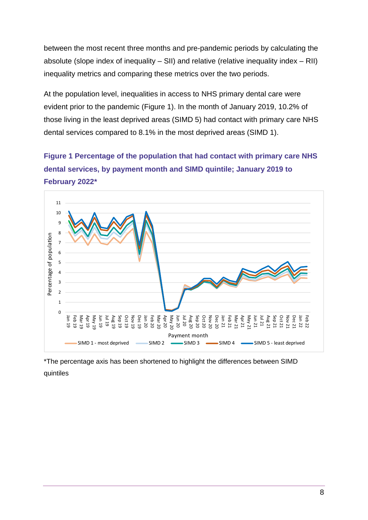between the most recent three months and pre-pandemic periods by calculating the absolute (slope index of inequality – SII) and relative (relative inequality index – RII) inequality metrics and comparing these metrics over the two periods.

At the population level, inequalities in access to NHS primary dental care were evident prior to the pandemic (Figure 1). In the month of January 2019, 10.2% of those living in the least deprived areas (SIMD 5) had contact with primary care NHS dental services compared to 8.1% in the most deprived areas (SIMD 1).

**Figure 1 Percentage of the population that had contact with primary care NHS dental services, by payment month and SIMD quintile; January 2019 to February 2022\***



\*The percentage axis has been shortened to highlight the differences between SIMD quintiles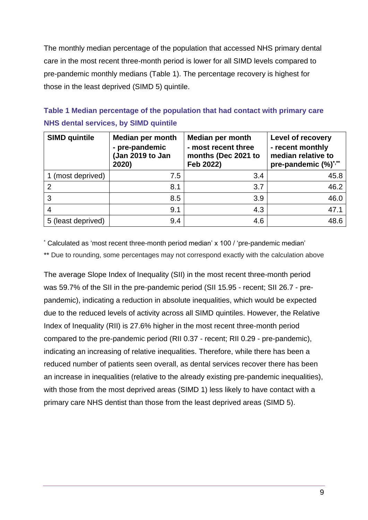The monthly median percentage of the population that accessed NHS primary dental care in the most recent three-month period is lower for all SIMD levels compared to pre-pandemic monthly medians (Table 1). The percentage recovery is highest for those in the least deprived (SIMD 5) quintile.

### **Table 1 Median percentage of the population that had contact with primary care NHS dental services, by SIMD quintile**

| <b>SIMD quintile</b> | <b>Median per month</b><br>- pre-pandemic<br>(Jan 2019 to Jan<br>2020) | <b>Median per month</b><br>- most recent three<br>months (Dec 2021 to<br>Feb 2022) | Level of recovery<br>- recent monthly<br>median relative to<br>pre-pandemic (%)*,** |
|----------------------|------------------------------------------------------------------------|------------------------------------------------------------------------------------|-------------------------------------------------------------------------------------|
| 1 (most deprived)    | 7.5                                                                    | 3.4                                                                                | 45.8                                                                                |
| 2                    | 8.1                                                                    | 3.7                                                                                | 46.2                                                                                |
| 3                    | 8.5                                                                    | 3.9                                                                                | 46.0                                                                                |
|                      | 9.1                                                                    | 4.3                                                                                | 47.1                                                                                |
| 5 (least deprived)   | 9.4                                                                    | 4.6                                                                                | 48.6                                                                                |

\* Calculated as 'most recent three-month period median' x 100 / 'pre-pandemic median'

\*\* Due to rounding, some percentages may not correspond exactly with the calculation above

The average Slope Index of Inequality (SII) in the most recent three-month period was 59.7% of the SII in the pre-pandemic period (SII 15.95 - recent; SII 26.7 - prepandemic), indicating a reduction in absolute inequalities, which would be expected due to the reduced levels of activity across all SIMD quintiles. However, the Relative Index of Inequality (RII) is 27.6% higher in the most recent three-month period compared to the pre-pandemic period (RII 0.37 - recent; RII 0.29 - pre-pandemic), indicating an increasing of relative inequalities. Therefore, while there has been a reduced number of patients seen overall, as dental services recover there has been an increase in inequalities (relative to the already existing pre-pandemic inequalities), with those from the most deprived areas (SIMD 1) less likely to have contact with a primary care NHS dentist than those from the least deprived areas (SIMD 5).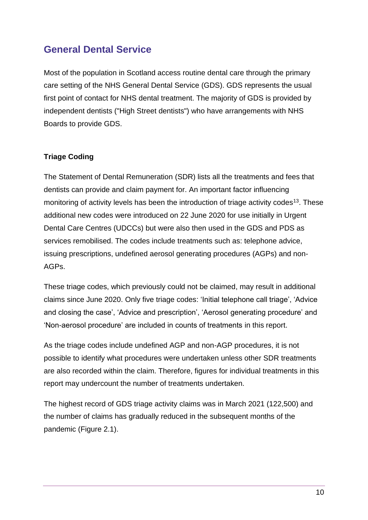### <span id="page-10-0"></span>**General Dental Service**

Most of the population in Scotland access routine dental care through the primary care setting of the NHS General Dental Service (GDS). GDS represents the usual first point of contact for NHS dental treatment. The majority of GDS is provided by independent dentists ("High Street dentists") who have arrangements with NHS Boards to provide GDS.

#### **Triage Coding**

The Statement of Dental Remuneration (SDR) lists all the treatments and fees that dentists can provide and claim payment for. An important factor influencing monitoring of activity levels has been the introduction of triage activity codes<sup>13</sup>. These additional new codes were introduced on 22 June 2020 for use initially in Urgent Dental Care Centres (UDCCs) but were also then used in the GDS and PDS as services remobilised. The codes include treatments such as: telephone advice, issuing prescriptions, undefined aerosol generating procedures (AGPs) and non-AGPs.

These triage codes, which previously could not be claimed, may result in additional claims since June 2020. Only five triage codes: 'Initial telephone call triage', 'Advice and closing the case', 'Advice and prescription', 'Aerosol generating procedure' and 'Non-aerosol procedure' are included in counts of treatments in this report.

As the triage codes include undefined AGP and non-AGP procedures, it is not possible to identify what procedures were undertaken unless other SDR treatments are also recorded within the claim. Therefore, figures for individual treatments in this report may undercount the number of treatments undertaken.

The highest record of GDS triage activity claims was in March 2021 (122,500) and the number of claims has gradually reduced in the subsequent months of the pandemic (Figure 2.1).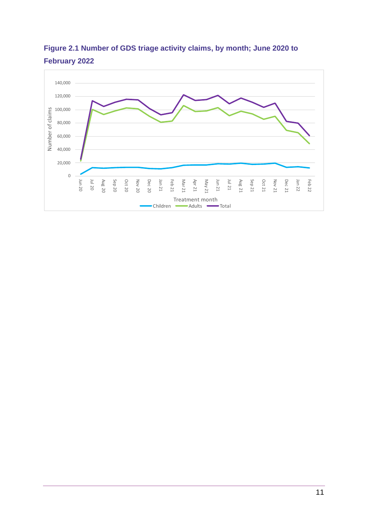

**Figure 2.1 Number of GDS triage activity claims, by month; June 2020 to February 2022**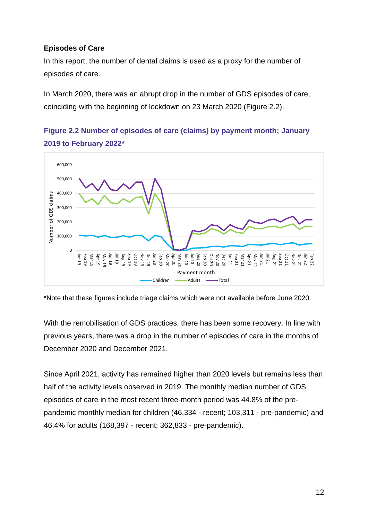#### **Episodes of Care**

In this report, the number of dental claims is used as a proxy for the number of episodes of care.

In March 2020, there was an abrupt drop in the number of GDS episodes of care, coinciding with the beginning of lockdown on 23 March 2020 (Figure 2.2).



**Figure 2.2 Number of episodes of care (claims) by payment month; January 2019 to February 2022\***

\*Note that these figures include triage claims which were not available before June 2020.

With the remobilisation of GDS practices, there has been some recovery. In line with previous years, there was a drop in the number of episodes of care in the months of December 2020 and December 2021.

Since April 2021, activity has remained higher than 2020 levels but remains less than half of the activity levels observed in 2019. The monthly median number of GDS episodes of care in the most recent three-month period was 44.8% of the prepandemic monthly median for children (46,334 - recent; 103,311 - pre-pandemic) and 46.4% for adults (168,397 - recent; 362,833 - pre-pandemic).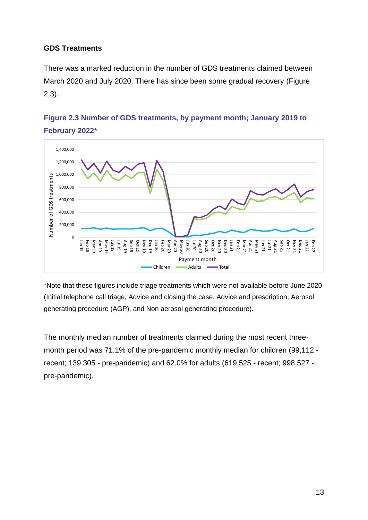#### **GDS Treatments**

There was a marked reduction in the number of GDS treatments claimed between March 2020 and July 2020. There has since been some gradual recovery (Figure 2.3).



### **Figure 2.3 Number of GDS treatments, by payment month; January 2019 to February 2022\***

\*Note that these figures include triage treatments which were not available before June 2020 (Initial telephone call triage, Advice and closing the case, Advice and prescription, Aerosol generating procedure (AGP), and Non aerosol generating procedure).

The monthly median number of treatments claimed during the most recent threemonth period was 71.1% of the pre-pandemic monthly median for children (99,112 recent; 139,305 - pre-pandemic) and 62.0% for adults (619,525 - recent; 998,527 pre-pandemic).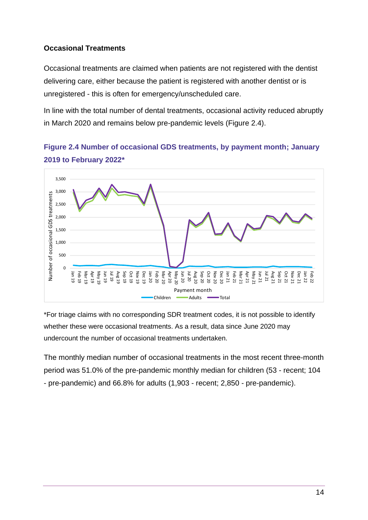#### **Occasional Treatments**

Occasional treatments are claimed when patients are not registered with the dentist delivering care, either because the patient is registered with another dentist or is unregistered - this is often for emergency/unscheduled care.

In line with the total number of dental treatments, occasional activity reduced abruptly in March 2020 and remains below pre-pandemic levels (Figure 2.4).

**Figure 2.4 Number of occasional GDS treatments, by payment month; January 2019 to February 2022\***



\*For triage claims with no corresponding SDR treatment codes, it is not possible to identify whether these were occasional treatments. As a result, data since June 2020 may undercount the number of occasional treatments undertaken.

The monthly median number of occasional treatments in the most recent three-month period was 51.0% of the pre-pandemic monthly median for children (53 - recent; 104 - pre-pandemic) and 66.8% for adults (1,903 - recent; 2,850 - pre-pandemic).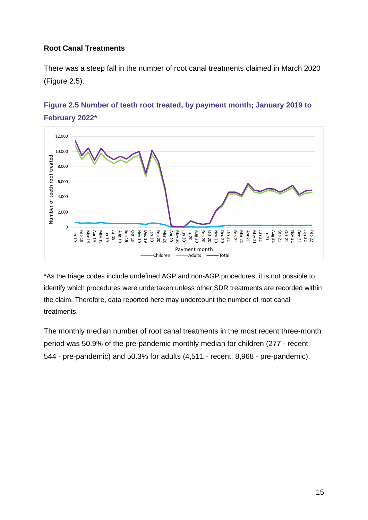#### **Root Canal Treatments**

There was a steep fall in the number of root canal treatments claimed in March 2020 (Figure 2.5).



### **Figure 2.5 Number of teeth root treated, by payment month; January 2019 to February 2022\***

\*As the triage codes include undefined AGP and non-AGP procedures, it is not possible to identify which procedures were undertaken unless other SDR treatments are recorded within the claim. Therefore, data reported here may undercount the number of root canal treatments.

The monthly median number of root canal treatments in the most recent three-month period was 50.9% of the pre-pandemic monthly median for children (277 - recent; 544 - pre-pandemic) and 50.3% for adults (4,511 - recent; 8,968 - pre-pandemic).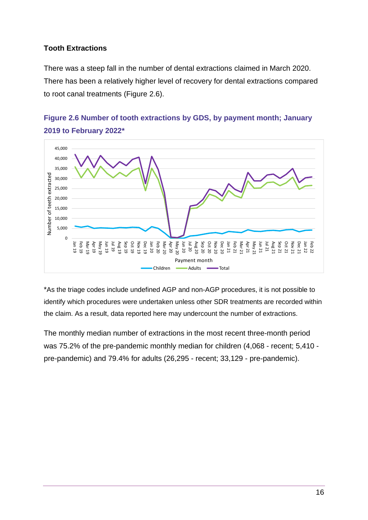#### **Tooth Extractions**

There was a steep fall in the number of dental extractions claimed in March 2020. There has been a relatively higher level of recovery for dental extractions compared to root canal treatments (Figure 2.6).



### **Figure 2.6 Number of tooth extractions by GDS, by payment month; January 2019 to February 2022\***

\*As the triage codes include undefined AGP and non-AGP procedures, it is not possible to identify which procedures were undertaken unless other SDR treatments are recorded within the claim. As a result, data reported here may undercount the number of extractions.

The monthly median number of extractions in the most recent three-month period was 75.2% of the pre-pandemic monthly median for children (4,068 - recent; 5,410 pre-pandemic) and 79.4% for adults (26,295 - recent; 33,129 - pre-pandemic).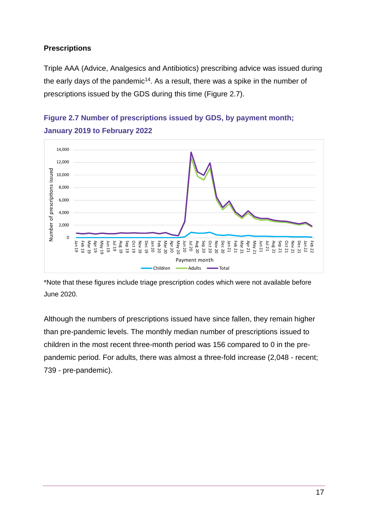#### **Prescriptions**

Triple AAA (Advice, Analgesics and Antibiotics) prescribing advice was issued during the early days of the pandemic<sup>14</sup>. As a result, there was a spike in the number of prescriptions issued by the GDS during this time (Figure 2.7).



**Figure 2.7 Number of prescriptions issued by GDS, by payment month; January 2019 to February 2022**

\*Note that these figures include triage prescription codes which were not available before June 2020.

Although the numbers of prescriptions issued have since fallen, they remain higher than pre-pandemic levels. The monthly median number of prescriptions issued to children in the most recent three-month period was 156 compared to 0 in the prepandemic period. For adults, there was almost a three-fold increase (2,048 - recent; 739 - pre-pandemic).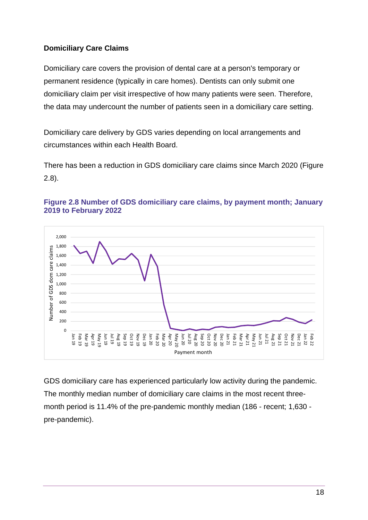#### **Domiciliary Care Claims**

Domiciliary care covers the provision of dental care at a person's temporary or permanent residence (typically in care homes). Dentists can only submit one domiciliary claim per visit irrespective of how many patients were seen. Therefore, the data may undercount the number of patients seen in a domiciliary care setting.

Domiciliary care delivery by GDS varies depending on local arrangements and circumstances within each Health Board.

There has been a reduction in GDS domiciliary care claims since March 2020 (Figure 2.8).





GDS domiciliary care has experienced particularly low activity during the pandemic. The monthly median number of domiciliary care claims in the most recent threemonth period is 11.4% of the pre-pandemic monthly median (186 - recent; 1,630 pre-pandemic).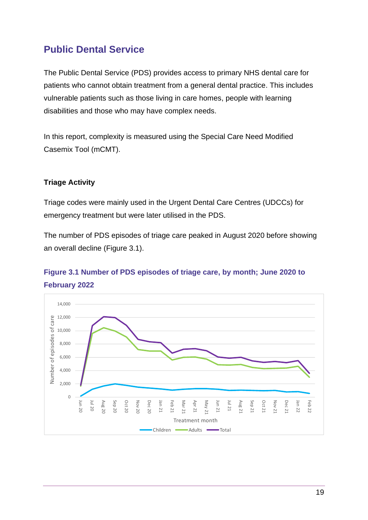### <span id="page-19-0"></span>**Public Dental Service**

The Public Dental Service (PDS) provides access to primary NHS dental care for patients who cannot obtain treatment from a general dental practice. This includes vulnerable patients such as those living in care homes, people with learning disabilities and those who may have complex needs.

In this report, complexity is measured using the Special Care Need Modified Casemix Tool (mCMT).

#### **Triage Activity**

Triage codes were mainly used in the Urgent Dental Care Centres (UDCCs) for emergency treatment but were later utilised in the PDS.

The number of PDS episodes of triage care peaked in August 2020 before showing an overall decline (Figure 3.1).

### **Figure 3.1 Number of PDS episodes of triage care, by month; June 2020 to February 2022**

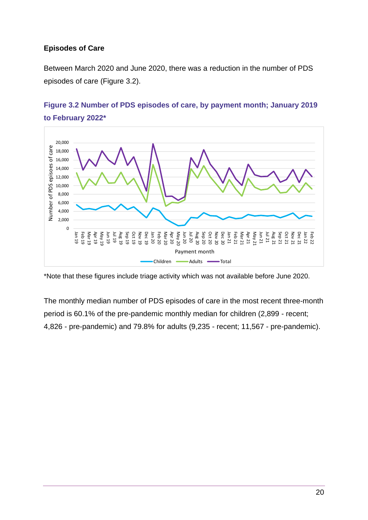#### **Episodes of Care**

Between March 2020 and June 2020, there was a reduction in the number of PDS episodes of care (Figure 3.2).



### **Figure 3.2 Number of PDS episodes of care, by payment month; January 2019 to February 2022\***

\*Note that these figures include triage activity which was not available before June 2020.

The monthly median number of PDS episodes of care in the most recent three-month period is 60.1% of the pre-pandemic monthly median for children (2,899 - recent; 4,826 - pre-pandemic) and 79.8% for adults (9,235 - recent; 11,567 - pre-pandemic).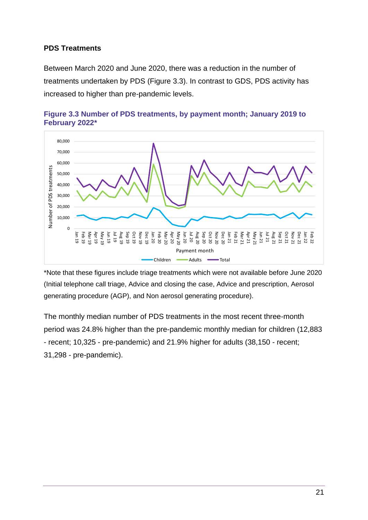#### **PDS Treatments**

Between March 2020 and June 2020, there was a reduction in the number of treatments undertaken by PDS (Figure 3.3). In contrast to GDS, PDS activity has increased to higher than pre-pandemic levels.





\*Note that these figures include triage treatments which were not available before June 2020 (Initial telephone call triage, Advice and closing the case, Advice and prescription, Aerosol generating procedure (AGP), and Non aerosol generating procedure).

The monthly median number of PDS treatments in the most recent three-month period was 24.8% higher than the pre-pandemic monthly median for children (12,883 - recent; 10,325 - pre-pandemic) and 21.9% higher for adults (38,150 - recent; 31,298 - pre-pandemic).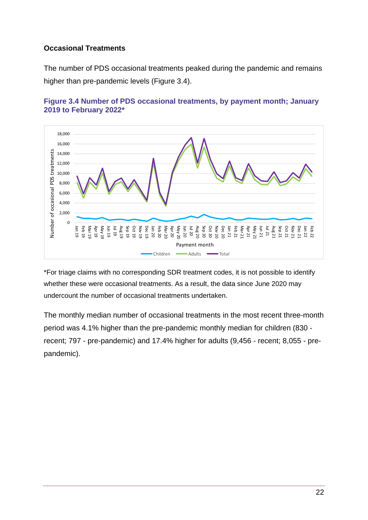#### **Occasional Treatments**

The number of PDS occasional treatments peaked during the pandemic and remains higher than pre-pandemic levels (Figure 3.4).



#### **Figure 3.4 Number of PDS occasional treatments, by payment month; January 2019 to February 2022\***

\*For triage claims with no corresponding SDR treatment codes, it is not possible to identify whether these were occasional treatments. As a result, the data since June 2020 may undercount the number of occasional treatments undertaken.

The monthly median number of occasional treatments in the most recent three-month period was 4.1% higher than the pre-pandemic monthly median for children (830 recent; 797 - pre-pandemic) and 17.4% higher for adults (9,456 - recent; 8,055 - prepandemic).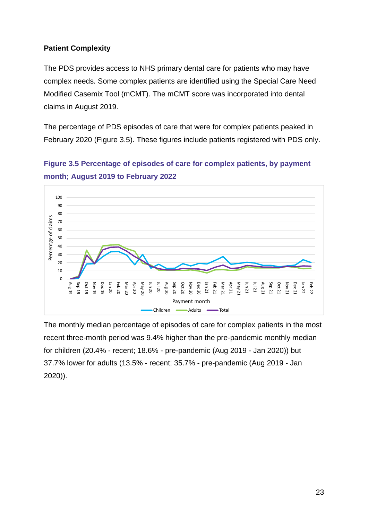#### **Patient Complexity**

The PDS provides access to NHS primary dental care for patients who may have complex needs. Some complex patients are identified using the Special Care Need Modified Casemix Tool (mCMT). The mCMT score was incorporated into dental claims in August 2019.

The percentage of PDS episodes of care that were for complex patients peaked in February 2020 (Figure 3.5). These figures include patients registered with PDS only.



**Figure 3.5 Percentage of episodes of care for complex patients, by payment month; August 2019 to February 2022**

The monthly median percentage of episodes of care for complex patients in the most recent three-month period was 9.4% higher than the pre-pandemic monthly median for children (20.4% - recent; 18.6% - pre-pandemic (Aug 2019 - Jan 2020)) but 37.7% lower for adults (13.5% - recent; 35.7% - pre-pandemic (Aug 2019 - Jan 2020)).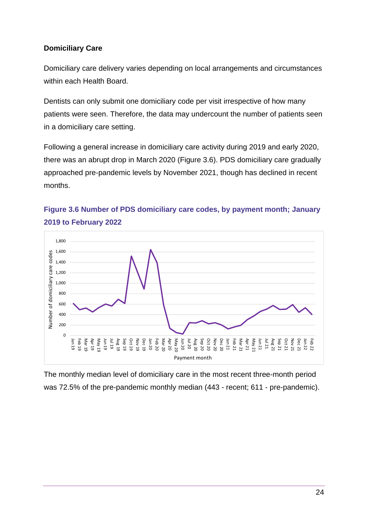#### **Domiciliary Care**

Domiciliary care delivery varies depending on local arrangements and circumstances within each Health Board.

Dentists can only submit one domiciliary code per visit irrespective of how many patients were seen. Therefore, the data may undercount the number of patients seen in a domiciliary care setting.

Following a general increase in domiciliary care activity during 2019 and early 2020, there was an abrupt drop in March 2020 (Figure 3.6). PDS domiciliary care gradually approached pre-pandemic levels by November 2021, though has declined in recent months.





The monthly median level of domiciliary care in the most recent three-month period was 72.5% of the pre-pandemic monthly median (443 - recent; 611 - pre-pandemic).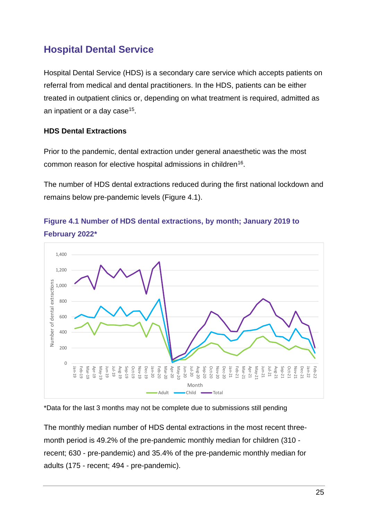# <span id="page-25-0"></span>**Hospital Dental Service**

Hospital Dental Service (HDS) is a secondary care service which accepts patients on referral from medical and dental practitioners. In the HDS, patients can be either treated in outpatient clinics or, depending on what treatment is required, admitted as an inpatient or a day case<sup>15</sup>.

#### **HDS Dental Extractions**

Prior to the pandemic, dental extraction under general anaesthetic was the most common reason for elective hospital admissions in children<sup>16</sup>.

The number of HDS dental extractions reduced during the first national lockdown and remains below pre-pandemic levels (Figure 4.1).



### **Figure 4.1 Number of HDS dental extractions, by month; January 2019 to February 2022\***

\*Data for the last 3 months may not be complete due to submissions still pending

The monthly median number of HDS dental extractions in the most recent threemonth period is 49.2% of the pre-pandemic monthly median for children (310 recent; 630 - pre-pandemic) and 35.4% of the pre-pandemic monthly median for adults (175 - recent; 494 - pre-pandemic).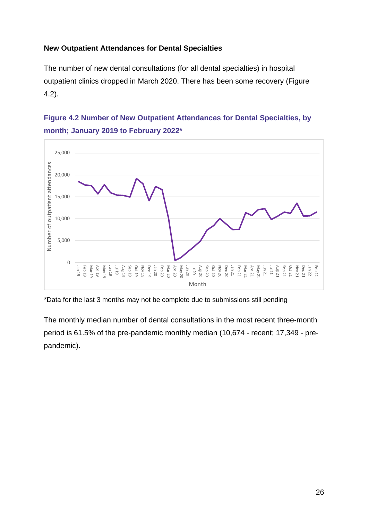#### **New Outpatient Attendances for Dental Specialties**

The number of new dental consultations (for all dental specialties) in hospital outpatient clinics dropped in March 2020. There has been some recovery (Figure 4.2).





\*Data for the last 3 months may not be complete due to submissions still pending

The monthly median number of dental consultations in the most recent three-month period is 61.5% of the pre-pandemic monthly median (10,674 - recent; 17,349 - prepandemic).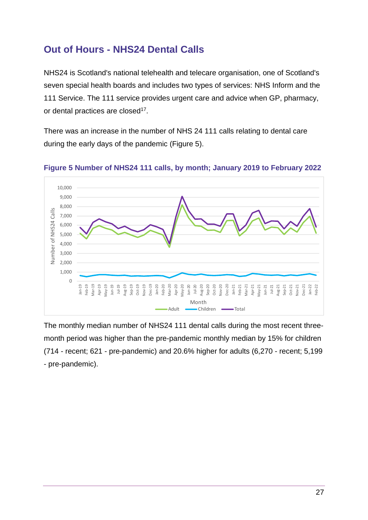### <span id="page-27-0"></span>**Out of Hours - NHS24 Dental Calls**

NHS24 is Scotland's national telehealth and telecare organisation, one of Scotland's seven special health boards and includes two types of services: NHS Inform and the 111 Service. The 111 service provides urgent care and advice when GP, pharmacy, or dental practices are closed<sup>17</sup>.

There was an increase in the number of NHS 24 111 calls relating to dental care during the early days of the pandemic (Figure 5).



**Figure 5 Number of NHS24 111 calls, by month; January 2019 to February 2022**

The monthly median number of NHS24 111 dental calls during the most recent threemonth period was higher than the pre-pandemic monthly median by 15% for children (714 - recent; 621 - pre-pandemic) and 20.6% higher for adults (6,270 - recent; 5,199 - pre-pandemic).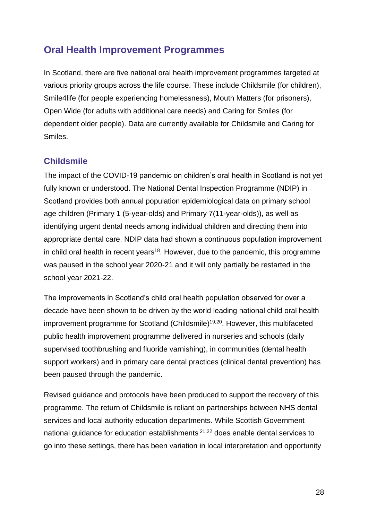### <span id="page-28-0"></span>**Oral Health Improvement Programmes**

In Scotland, there are five national oral health improvement programmes targeted at various priority groups across the life course. These include Childsmile (for children), Smile4life (for people experiencing homelessness), Mouth Matters (for prisoners), Open Wide (for adults with additional care needs) and Caring for Smiles (for dependent older people). Data are currently available for Childsmile and Caring for Smiles.

#### **Childsmile**

The impact of the COVID-19 pandemic on children's oral health in Scotland is not yet fully known or understood. The National Dental Inspection Programme (NDIP) in Scotland provides both annual population epidemiological data on primary school age children (Primary 1 (5-year-olds) and Primary 7(11-year-olds)), as well as identifying urgent dental needs among individual children and directing them into appropriate dental care. NDIP data had shown a continuous population improvement in child oral health in recent years<sup>18</sup>. However, due to the pandemic, this programme was paused in the school year 2020-21 and it will only partially be restarted in the school year 2021-22.

The improvements in Scotland's child oral health population observed for over a decade have been shown to be driven by the world leading national child oral health improvement programme for Scotland (Childsmile) 19,20 . However, this multifaceted public health improvement programme delivered in nurseries and schools (daily supervised toothbrushing and fluoride varnishing), in communities (dental health support workers) and in primary care dental practices (clinical dental prevention) has been paused through the pandemic.

Revised guidance and protocols have been produced to support the recovery of this programme. The return of Childsmile is reliant on partnerships between NHS dental services and local authority education departments. While Scottish Government national guidance for education establishments <sup>21,22</sup> does enable dental services to go into these settings, there has been variation in local interpretation and opportunity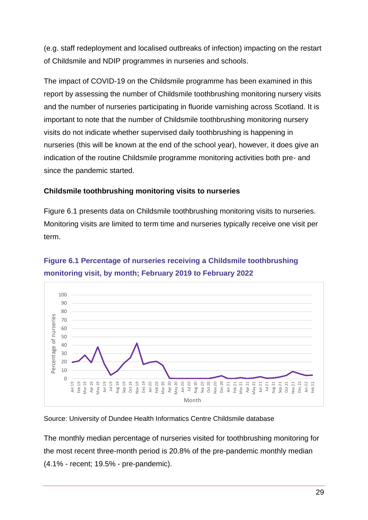(e.g. staff redeployment and localised outbreaks of infection) impacting on the restart of Childsmile and NDIP programmes in nurseries and schools.

The impact of COVID-19 on the Childsmile programme has been examined in this report by assessing the number of Childsmile toothbrushing monitoring nursery visits and the number of nurseries participating in fluoride varnishing across Scotland. It is important to note that the number of Childsmile toothbrushing monitoring nursery visits do not indicate whether supervised daily toothbrushing is happening in nurseries (this will be known at the end of the school year), however, it does give an indication of the routine Childsmile programme monitoring activities both pre- and since the pandemic started.

#### **Childsmile toothbrushing monitoring visits to nurseries**

Figure 6.1 presents data on Childsmile toothbrushing monitoring visits to nurseries. Monitoring visits are limited to term time and nurseries typically receive one visit per term.

### **Figure 6.1 Percentage of nurseries receiving a Childsmile toothbrushing monitoring visit, by month; February 2019 to February 2022**



#### Source: University of Dundee Health Informatics Centre Childsmile database

The monthly median percentage of nurseries visited for toothbrushing monitoring for the most recent three-month period is 20.8% of the pre-pandemic monthly median (4.1% - recent; 19.5% - pre-pandemic).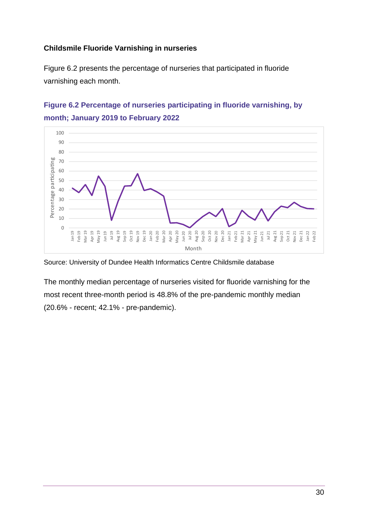#### **Childsmile Fluoride Varnishing in nurseries**

Figure 6.2 presents the percentage of nurseries that participated in fluoride varnishing each month.





Source: University of Dundee Health Informatics Centre Childsmile database

The monthly median percentage of nurseries visited for fluoride varnishing for the most recent three-month period is 48.8% of the pre-pandemic monthly median (20.6% - recent; 42.1% - pre-pandemic).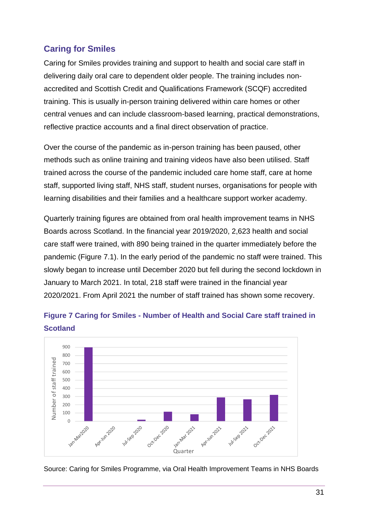### **Caring for Smiles**

Caring for Smiles provides training and support to health and social care staff in delivering daily oral care to dependent older people. The training includes nonaccredited and Scottish Credit and Qualifications Framework (SCQF) accredited training. This is usually in-person training delivered within care homes or other central venues and can include classroom-based learning, practical demonstrations, reflective practice accounts and a final direct observation of practice.

Over the course of the pandemic as in-person training has been paused, other methods such as online training and training videos have also been utilised. Staff trained across the course of the pandemic included care home staff, care at home staff, supported living staff, NHS staff, student nurses, organisations for people with learning disabilities and their families and a healthcare support worker academy.

Quarterly training figures are obtained from oral health improvement teams in NHS Boards across Scotland. In the financial year 2019/2020, 2,623 health and social care staff were trained, with 890 being trained in the quarter immediately before the pandemic (Figure 7.1). In the early period of the pandemic no staff were trained. This slowly began to increase until December 2020 but fell during the second lockdown in January to March 2021. In total, 218 staff were trained in the financial year 2020/2021. From April 2021 the number of staff trained has shown some recovery.



**Figure 7 Caring for Smiles - Number of Health and Social Care staff trained in Scotland**

Source: Caring for Smiles Programme, via Oral Health Improvement Teams in NHS Boards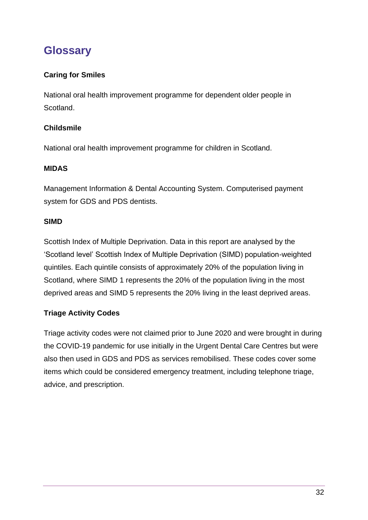# <span id="page-32-0"></span>**Glossary**

#### **Caring for Smiles**

National oral health improvement programme for dependent older people in Scotland.

#### **Childsmile**

National oral health improvement programme for children in Scotland.

#### **MIDAS**

Management Information & Dental Accounting System. Computerised payment system for GDS and PDS dentists.

#### **SIMD**

Scottish Index of Multiple Deprivation. Data in this report are analysed by the 'Scotland level' Scottish Index of Multiple Deprivation (SIMD) population-weighted quintiles. Each quintile consists of approximately 20% of the population living in Scotland, where SIMD 1 represents the 20% of the population living in the most deprived areas and SIMD 5 represents the 20% living in the least deprived areas.

#### **Triage Activity Codes**

Triage activity codes were not claimed prior to June 2020 and were brought in during the COVID-19 pandemic for use initially in the Urgent Dental Care Centres but were also then used in GDS and PDS as services remobilised. These codes cover some items which could be considered emergency treatment, including telephone triage, advice, and prescription.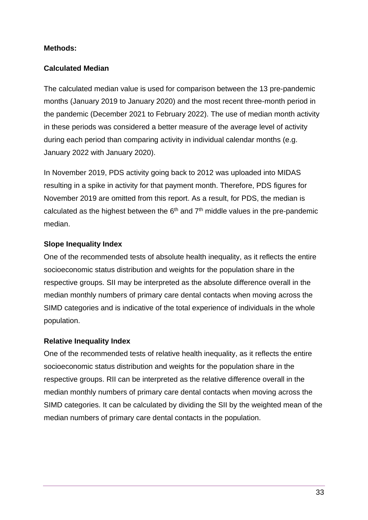#### **Methods:**

#### **Calculated Median**

The calculated median value is used for comparison between the 13 pre-pandemic months (January 2019 to January 2020) and the most recent three-month period in the pandemic (December 2021 to February 2022). The use of median month activity in these periods was considered a better measure of the average level of activity during each period than comparing activity in individual calendar months (e.g. January 2022 with January 2020).

In November 2019, PDS activity going back to 2012 was uploaded into MIDAS resulting in a spike in activity for that payment month. Therefore, PDS figures for November 2019 are omitted from this report. As a result, for PDS, the median is calculated as the highest between the  $6<sup>th</sup>$  and  $7<sup>th</sup>$  middle values in the pre-pandemic median.

#### **Slope Inequality Index**

One of the recommended tests of absolute health inequality, as it reflects the entire socioeconomic status distribution and weights for the population share in the respective groups. SII may be interpreted as the absolute difference overall in the median monthly numbers of primary care dental contacts when moving across the SIMD categories and is indicative of the total experience of individuals in the whole population.

#### **Relative Inequality Index**

One of the recommended tests of relative health inequality, as it reflects the entire socioeconomic status distribution and weights for the population share in the respective groups. RII can be interpreted as the relative difference overall in the median monthly numbers of primary care dental contacts when moving across the SIMD categories. It can be calculated by dividing the SII by the weighted mean of the median numbers of primary care dental contacts in the population.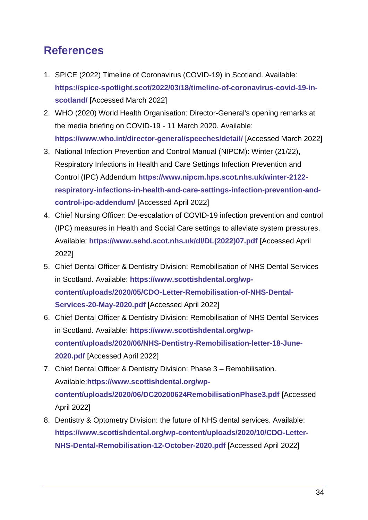# <span id="page-34-0"></span>**References**

- 1. SPICE (2022) Timeline of Coronavirus (COVID-19) in Scotland. Available: **[https://spice-spotlight.scot/2022/03/18/timeline-of-coronavirus-covid-19-in](https://spice-spotlight.scot/2022/03/18/timeline-of-coronavirus-covid-19-in-scotland/)[scotland/](https://spice-spotlight.scot/2022/03/18/timeline-of-coronavirus-covid-19-in-scotland/)** [Accessed March 2022]
- 2. WHO (2020) World Health Organisation: Director-General's opening remarks at the media briefing on COVID-19 - 11 March 2020. Available: **<https://www.who.int/director-general/speeches/detail/>** [Accessed March 2022]
- 3. National Infection Prevention and Control Manual (NIPCM): Winter (21/22), Respiratory Infections in Health and Care Settings Infection Prevention and Control (IPC) Addendum **[https://www.nipcm.hps.scot.nhs.uk/winter-2122](https://www.nipcm.hps.scot.nhs.uk/winter-2122-respiratory-infections-in-health-and-care-settings-infection-prevention-and-control-ipc-addendum/) [respiratory-infections-in-health-and-care-settings-infection-prevention-and](https://www.nipcm.hps.scot.nhs.uk/winter-2122-respiratory-infections-in-health-and-care-settings-infection-prevention-and-control-ipc-addendum/)[control-ipc-addendum/](https://www.nipcm.hps.scot.nhs.uk/winter-2122-respiratory-infections-in-health-and-care-settings-infection-prevention-and-control-ipc-addendum/)** [Accessed April 2022]
- 4. Chief Nursing Officer: De-escalation of COVID-19 infection prevention and control (IPC) measures in Health and Social Care settings to alleviate system pressures. Available: **[https://www.sehd.scot.nhs.uk/dl/DL\(2022\)07.pdf](https://www.sehd.scot.nhs.uk/dl/DL(2022)07.pdf)** [Accessed April 2022]
- 5. Chief Dental Officer & Dentistry Division: Remobilisation of NHS Dental Services in Scotland. Available: **[https://www.scottishdental.org/wp](https://www.scottishdental.org/wp-content/uploads/2020/05/CDO-Letter-Remobilisation-of-NHS-Dental-Services-20-May-2020.pdf)[content/uploads/2020/05/CDO-Letter-Remobilisation-of-NHS-Dental-](https://www.scottishdental.org/wp-content/uploads/2020/05/CDO-Letter-Remobilisation-of-NHS-Dental-Services-20-May-2020.pdf)[Services-20-May-2020.pdf](https://www.scottishdental.org/wp-content/uploads/2020/05/CDO-Letter-Remobilisation-of-NHS-Dental-Services-20-May-2020.pdf)** [Accessed April 2022]
- 6. Chief Dental Officer & Dentistry Division: Remobilisation of NHS Dental Services in Scotland. Available: **[https://www.scottishdental.org/wp](https://www.scottishdental.org/wp-content/uploads/2020/06/NHS-Dentistry-Remobilisation-letter-18-June-2020.pdf)[content/uploads/2020/06/NHS-Dentistry-Remobilisation-letter-18-June-](https://www.scottishdental.org/wp-content/uploads/2020/06/NHS-Dentistry-Remobilisation-letter-18-June-2020.pdf)[2020.pdf](https://www.scottishdental.org/wp-content/uploads/2020/06/NHS-Dentistry-Remobilisation-letter-18-June-2020.pdf)** [Accessed April 2022]
- 7. Chief Dental Officer & Dentistry Division: Phase 3 Remobilisation. Available:**[https://www.scottishdental.org/wp](https://www.scottishdental.org/wp-content/uploads/2020/06/DC20200624RemobilisationPhase3.pdf)[content/uploads/2020/06/DC20200624RemobilisationPhase3.pdf](https://www.scottishdental.org/wp-content/uploads/2020/06/DC20200624RemobilisationPhase3.pdf)** [Accessed April 2022]
- 8. Dentistry & Optometry Division: the future of NHS dental services. Available: **[https://www.scottishdental.org/wp-content/uploads/2020/10/CDO-Letter-](https://www.scottishdental.org/wp-content/uploads/2020/10/CDO-Letter-NHS-Dental-Remobilisation-12-October-2020.pdf)[NHS-Dental-Remobilisation-12-October-2020.pdf](https://www.scottishdental.org/wp-content/uploads/2020/10/CDO-Letter-NHS-Dental-Remobilisation-12-October-2020.pdf)** [Accessed April 2022]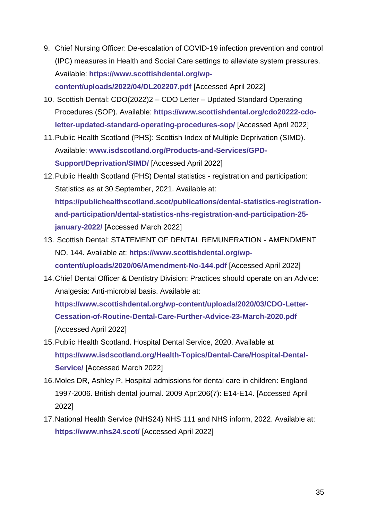- 9. Chief Nursing Officer: De-escalation of COVID-19 infection prevention and control (IPC) measures in Health and Social Care settings to alleviate system pressures. Available: **[https://www.scottishdental.org/wp](https://www.scottishdental.org/wp-content/uploads/2022/04/DL202207.pdf)[content/uploads/2022/04/DL202207.pdf](https://www.scottishdental.org/wp-content/uploads/2022/04/DL202207.pdf)** [Accessed April 2022]
- 10. Scottish Dental: CDO(2022)2 CDO Letter Updated Standard Operating Procedures (SOP). Available: **[https://www.scottishdental.org/cdo20222-cdo](https://www.scottishdental.org/cdo20222-cdo-letter-updated-standard-operating-procedures-sop/)[letter-updated-standard-operating-procedures-sop/](https://www.scottishdental.org/cdo20222-cdo-letter-updated-standard-operating-procedures-sop/)** [Accessed April 2022]
- 11.Public Health Scotland (PHS): Scottish Index of Multiple Deprivation (SIMD). Available: **[www.isdscotland.org/Products-and-Services/GPD-](http://www.isdscotland.org/Products-and-Services/GPD-Support/Deprivation/SIMD/)[Support/Deprivation/SIMD/](http://www.isdscotland.org/Products-and-Services/GPD-Support/Deprivation/SIMD/)** [Accessed April 2022]
- 12.Public Health Scotland (PHS) Dental statistics registration and participation: Statistics as at 30 September, 2021. Available at: **[https://publichealthscotland.scot/publications/dental-statistics-registration](https://publichealthscotland.scot/publications/dental-statistics-registration-and-participation/dental-statistics-nhs-registration-and-participation-25-january-2022/)[and-participation/dental-statistics-nhs-registration-and-participation-25](https://publichealthscotland.scot/publications/dental-statistics-registration-and-participation/dental-statistics-nhs-registration-and-participation-25-january-2022/) [january-2022/](https://publichealthscotland.scot/publications/dental-statistics-registration-and-participation/dental-statistics-nhs-registration-and-participation-25-january-2022/)** [Accessed March 2022]
- 13. Scottish Dental: STATEMENT OF DENTAL REMUNERATION AMENDMENT NO. 144. Available at: **[https://www.scottishdental.org/wp](https://www.scottishdental.org/wp-content/uploads/2020/06/Amendment-No-144.pdf)[content/uploads/2020/06/Amendment-No-144.pdf](https://www.scottishdental.org/wp-content/uploads/2020/06/Amendment-No-144.pdf)** [Accessed April 2022]
- 14.Chief Dental Officer & Dentistry Division: Practices should operate on an Advice: Analgesia: Anti-microbial basis. Available at: **[https://www.scottishdental.org/wp-content/uploads/2020/03/CDO-Letter-](https://www.scottishdental.org/wp-content/uploads/2020/03/CDO-Letter-Cessation-of-Routine-Dental-Care-Further-Advice-23-March-2020.pdf)[Cessation-of-Routine-Dental-Care-Further-Advice-23-March-2020.pdf](https://www.scottishdental.org/wp-content/uploads/2020/03/CDO-Letter-Cessation-of-Routine-Dental-Care-Further-Advice-23-March-2020.pdf)** [Accessed April 2022]
- 15.Public Health Scotland. Hospital Dental Service, 2020. Available at **[https://www.isdscotland.org/Health-Topics/Dental-Care/Hospital-Dental-](https://www.isdscotland.org/Health-Topics/Dental-Care/Hospital-Dental-Service/)[Service/](https://www.isdscotland.org/Health-Topics/Dental-Care/Hospital-Dental-Service/)** [Accessed March 2022]
- 16.Moles DR, Ashley P. Hospital admissions for dental care in children: England 1997-2006. British dental journal. 2009 Apr;206(7): E14-E14. [Accessed April 2022]
- 17.National Health Service (NHS24) NHS 111 and NHS inform, 2022. Available at: **<https://www.nhs24.scot/>** [Accessed April 2022]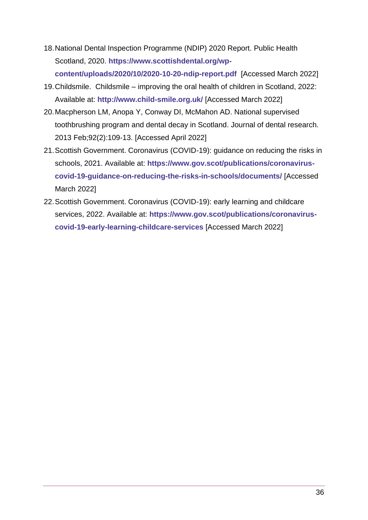- 18.National Dental Inspection Programme (NDIP) 2020 Report. Public Health Scotland, 2020. **[https://www.scottishdental.org/wp](https://www.scottishdental.org/wp-content/uploads/2020/10/2020-10-20-ndip-report.pdf)[content/uploads/2020/10/2020-10-20-ndip-report.pdf](https://www.scottishdental.org/wp-content/uploads/2020/10/2020-10-20-ndip-report.pdf)** [Accessed March 2022]
- 19.Childsmile. Childsmile improving the oral health of children in Scotland, 2022: Available at: **<http://www.child-smile.org.uk/>** [Accessed March 2022]
- 20.Macpherson LM, Anopa Y, Conway DI, McMahon AD. National supervised toothbrushing program and dental decay in Scotland. Journal of dental research. 2013 Feb;92(2):109-13. [Accessed April 2022]
- 21.Scottish Government. Coronavirus (COVID-19): guidance on reducing the risks in schools, 2021. Available at: **[https://www.gov.scot/publications/coronavirus](https://www.gov.scot/publications/coronavirus-covid-19-guidance-on-reducing-the-risks-in-schools/documents/)[covid-19-guidance-on-reducing-the-risks-in-schools/documents/](https://www.gov.scot/publications/coronavirus-covid-19-guidance-on-reducing-the-risks-in-schools/documents/)** [Accessed March 2022]
- 22.Scottish Government. Coronavirus (COVID-19): early learning and childcare services, 2022. Available at: **[https://www.gov.scot/publications/coronavirus](https://www.gov.scot/publications/coronavirus-covid-19-early-learning-childcare-services)[covid-19-early-learning-childcare-services](https://www.gov.scot/publications/coronavirus-covid-19-early-learning-childcare-services)** [Accessed March 2022]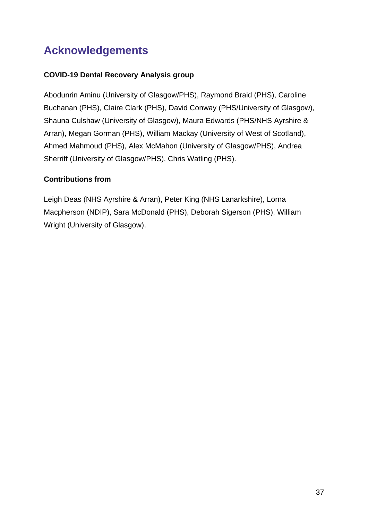# <span id="page-37-0"></span>**Acknowledgements**

#### **COVID-19 Dental Recovery Analysis group**

Abodunrin Aminu (University of Glasgow/PHS), Raymond Braid (PHS), Caroline Buchanan (PHS), Claire Clark (PHS), David Conway (PHS/University of Glasgow), Shauna Culshaw (University of Glasgow), Maura Edwards (PHS/NHS Ayrshire & Arran), Megan Gorman (PHS), William Mackay (University of West of Scotland), Ahmed Mahmoud (PHS), Alex McMahon (University of Glasgow/PHS), Andrea Sherriff (University of Glasgow/PHS), Chris Watling (PHS).

#### **Contributions from**

Leigh Deas (NHS Ayrshire & Arran), Peter King (NHS Lanarkshire), Lorna Macpherson (NDIP), Sara McDonald (PHS), Deborah Sigerson (PHS), William Wright (University of Glasgow).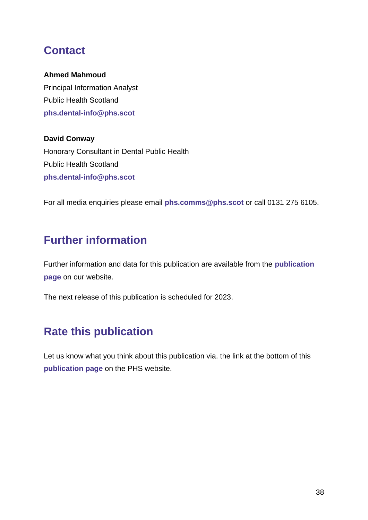# <span id="page-38-0"></span>**Contact**

#### **Ahmed Mahmoud**

Principal Information Analyst Public Health Scotland **[phs.dental-info@phs.scot](mailto:phs.dental-info@phs.scot)**

**David Conway** Honorary Consultant in Dental Public Health Public Health Scotland **[phs.dental-info@phs.scot](mailto:phs.dental-info@phs.scot)**

For all media enquiries please email **[phs.comms@phs.scot](mailto:phs.comms@phs.scot)** or call 0131 275 6105.

# <span id="page-38-1"></span>**Further information**

Further information and data for this publication are available from the **[publication](https://publichealthscotland.scot/ADD-THE-LINK-TO-YOUR-PUBLICATION-PAGE)  [page](https://publichealthscotland.scot/ADD-THE-LINK-TO-YOUR-PUBLICATION-PAGE)** on our website.

The next release of this publication is scheduled for 2023.

# <span id="page-38-2"></span>**Rate this publication**

Let us know what you think about this publication via. the link at the bottom of this **[publication page](https://publichealthscotland.scot/ADD-THE-LINK-TO-YOUR-PUBLICATION-PAGE)** on the PHS website.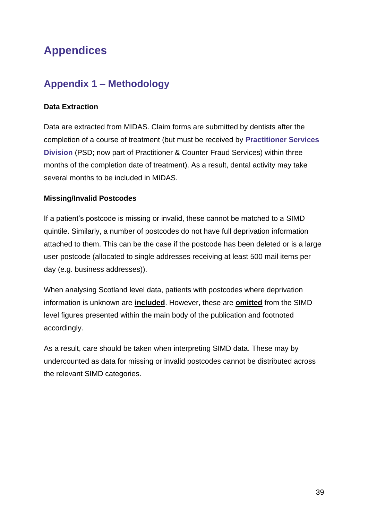# <span id="page-39-0"></span>**Appendices**

## <span id="page-39-1"></span>**Appendix 1 – Methodology**

#### **Data Extraction**

Data are extracted from MIDAS. Claim forms are submitted by dentists after the completion of a course of treatment (but must be received by **[Practitioner Services](https://www.nss.nhs.scot/departments/practitioner-services/)  [Division](https://www.nss.nhs.scot/departments/practitioner-services/)** (PSD; now part of Practitioner & Counter Fraud Services) within three months of the completion date of treatment). As a result, dental activity may take several months to be included in MIDAS.

#### **Missing/Invalid Postcodes**

If a patient's postcode is missing or invalid, these cannot be matched to a SIMD quintile. Similarly, a number of postcodes do not have full deprivation information attached to them. This can be the case if the postcode has been deleted or is a large user postcode (allocated to single addresses receiving at least 500 mail items per day (e.g. business addresses)).

When analysing Scotland level data, patients with postcodes where deprivation information is unknown are **included**. However, these are **omitted** from the SIMD level figures presented within the main body of the publication and footnoted accordingly.

As a result, care should be taken when interpreting SIMD data. These may by undercounted as data for missing or invalid postcodes cannot be distributed across the relevant SIMD categories.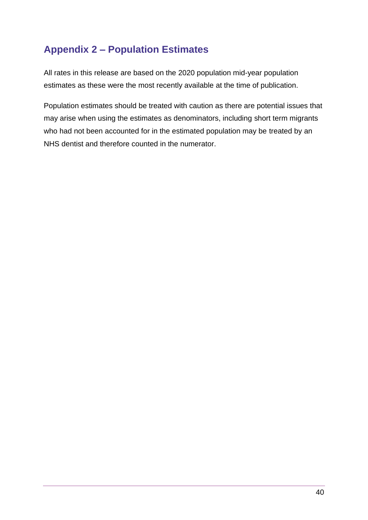# <span id="page-40-0"></span>**Appendix 2 – Population Estimates**

All rates in this release are based on the 2020 population mid-year population estimates as these were the most recently available at the time of publication.

Population estimates should be treated with caution as there are potential issues that may arise when using the estimates as denominators, including short term migrants who had not been accounted for in the estimated population may be treated by an NHS dentist and therefore counted in the numerator.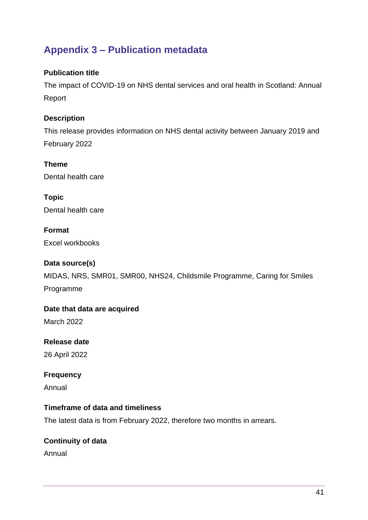## <span id="page-41-0"></span>**Appendix 3 – Publication metadata**

#### **Publication title**

The impact of COVID-19 on NHS dental services and oral health in Scotland: Annual Report

#### **Description**

This release provides information on NHS dental activity between January 2019 and February 2022

#### **Theme**

Dental health care

**Topic** Dental health care

**Format** Excel workbooks

#### **Data source(s)**

MIDAS, NRS, SMR01, SMR00, NHS24, Childsmile Programme, Caring for Smiles Programme

**Date that data are acquired**

March 2022

### **Release date**

26 April 2022

#### **Frequency**

Annual

#### **Timeframe of data and timeliness**

The latest data is from February 2022, therefore two months in arrears.

#### **Continuity of data**

Annual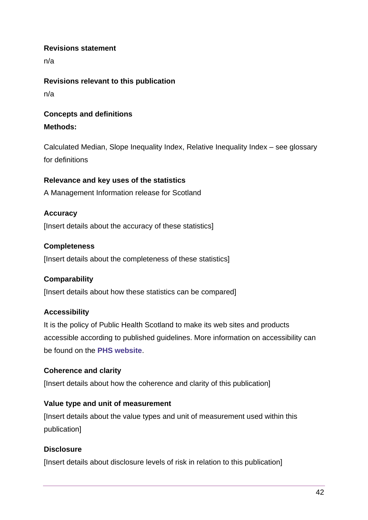#### **Revisions statement**

n/a

**Revisions relevant to this publication** n/a

### **Concepts and definitions Methods:**

Calculated Median, Slope Inequality Index, Relative Inequality Index – see glossary for definitions

#### **Relevance and key uses of the statistics**

A Management Information release for Scotland

#### **Accuracy**

[Insert details about the accuracy of these statistics]

#### **Completeness**

[Insert details about the completeness of these statistics]

#### **Comparability**

[Insert details about how these statistics can be compared]

#### **Accessibility**

It is the policy of Public Health Scotland to make its web sites and products accessible according to published guidelines. More information on accessibility can be found on the **[PHS website](https://publichealthscotland.scot/accessibility/)**.

#### **Coherence and clarity**

[Insert details about how the coherence and clarity of this publication]

#### **Value type and unit of measurement**

[Insert details about the value types and unit of measurement used within this publication]

#### **Disclosure**

[Insert details about disclosure levels of risk in relation to this publication]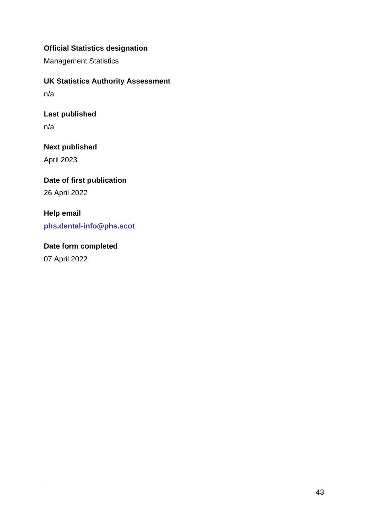#### **Official Statistics designation**

Management Statistics

**UK Statistics Authority Assessment**

n/a

**Last published**

n/a

**Next published** April 2023

**Date of first publication** 26 April 2022

**Help email [phs.dental-info@phs.scot](mailto:phs.dental-info@phs.scot)**

**Date form completed** 07 April 2022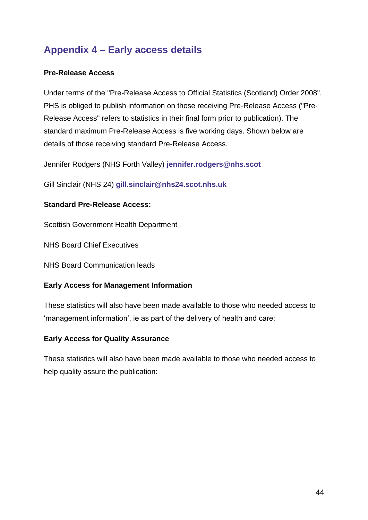# <span id="page-44-0"></span>**Appendix 4 – Early access details**

#### **Pre-Release Access**

Under terms of the "Pre-Release Access to Official Statistics (Scotland) Order 2008", PHS is obliged to publish information on those receiving Pre-Release Access ("Pre-Release Access" refers to statistics in their final form prior to publication). The standard maximum Pre-Release Access is five working days. Shown below are details of those receiving standard Pre-Release Access.

Jennifer Rodgers (NHS Forth Valley) **[jennifer.rodgers@nhs.scot](mailto:jennifer.rodgers@nhs.scot)**

Gill Sinclair (NHS 24) **[gill.sinclair@nhs24.scot.nhs.uk](mailto:gill.sinclair@nhs24.scot.nhs.uk)**

#### **Standard Pre-Release Access:**

Scottish Government Health Department

NHS Board Chief Executives

NHS Board Communication leads

#### **Early Access for Management Information**

These statistics will also have been made available to those who needed access to 'management information', ie as part of the delivery of health and care:

#### **Early Access for Quality Assurance**

These statistics will also have been made available to those who needed access to help quality assure the publication: